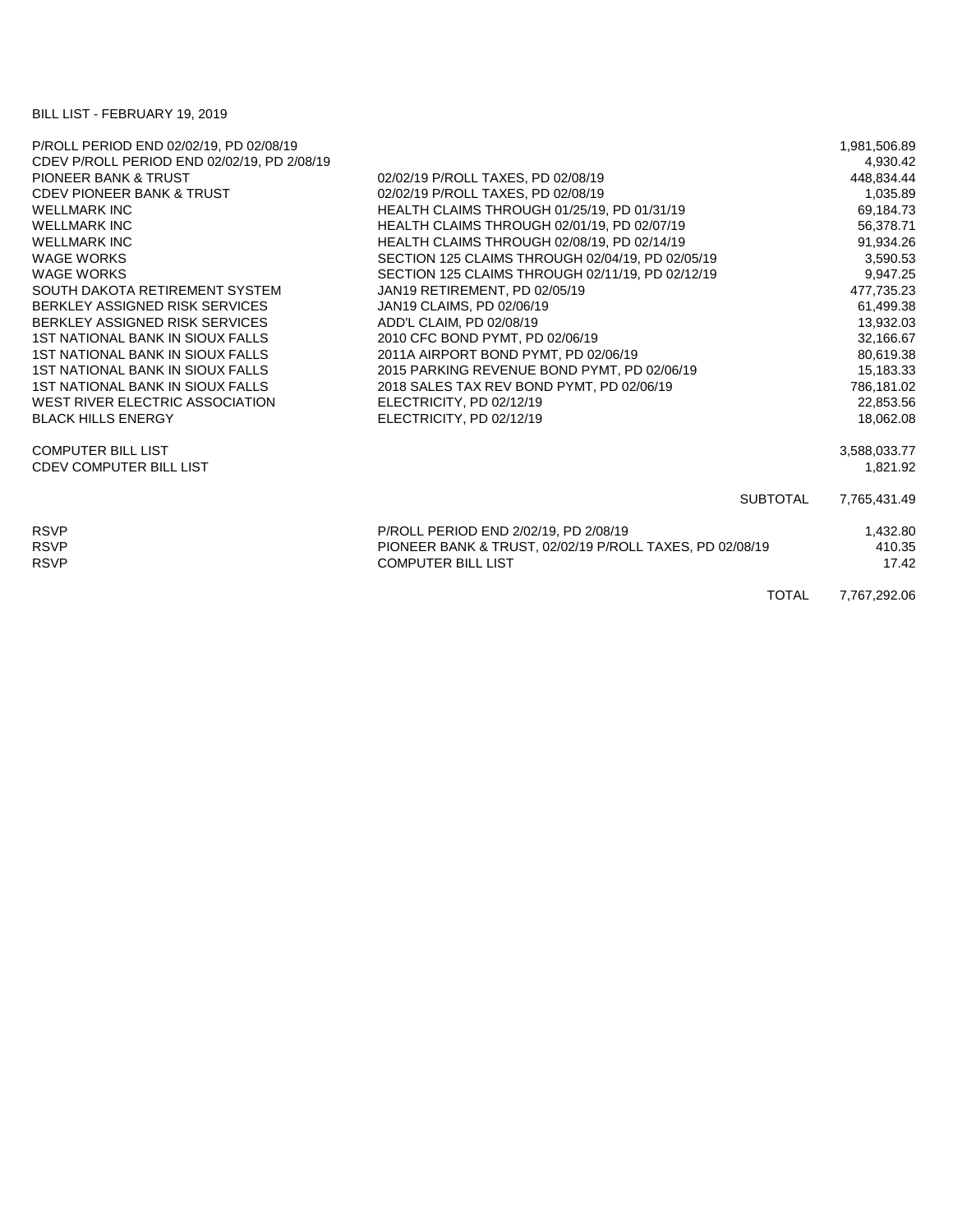## BILL LIST - FEBRUARY 19, 2019

| P/ROLL PERIOD END 02/02/19, PD 02/08/19     |                                                          | 1,981,506.89 |
|---------------------------------------------|----------------------------------------------------------|--------------|
| CDEV P/ROLL PERIOD END 02/02/19, PD 2/08/19 |                                                          | 4,930.42     |
| <b>PIONEER BANK &amp; TRUST</b>             | 02/02/19 P/ROLL TAXES, PD 02/08/19                       | 448.834.44   |
| <b>CDEV PIONEER BANK &amp; TRUST</b>        | 02/02/19 P/ROLL TAXES, PD 02/08/19                       | 1,035.89     |
| <b>WELLMARK INC</b>                         | HEALTH CLAIMS THROUGH 01/25/19, PD 01/31/19              | 69,184.73    |
| <b>WELLMARK INC</b>                         | HEALTH CLAIMS THROUGH 02/01/19, PD 02/07/19              | 56,378.71    |
| <b>WELLMARK INC</b>                         | HEALTH CLAIMS THROUGH 02/08/19, PD 02/14/19              | 91,934.26    |
| <b>WAGE WORKS</b>                           | SECTION 125 CLAIMS THROUGH 02/04/19, PD 02/05/19         | 3,590.53     |
| <b>WAGE WORKS</b>                           | SECTION 125 CLAIMS THROUGH 02/11/19, PD 02/12/19         | 9,947.25     |
| SOUTH DAKOTA RETIREMENT SYSTEM              | JAN19 RETIREMENT, PD 02/05/19                            | 477,735.23   |
| BERKLEY ASSIGNED RISK SERVICES              | JAN19 CLAIMS, PD 02/06/19                                | 61,499.38    |
| BERKLEY ASSIGNED RISK SERVICES              | ADD'L CLAIM, PD 02/08/19                                 | 13,932.03    |
| 1ST NATIONAL BANK IN SIOUX FALLS            | 2010 CFC BOND PYMT, PD 02/06/19                          | 32,166.67    |
| 1ST NATIONAL BANK IN SIOUX FALLS            | 2011A AIRPORT BOND PYMT, PD 02/06/19                     | 80,619.38    |
| 1ST NATIONAL BANK IN SIOUX FALLS            | 2015 PARKING REVENUE BOND PYMT, PD 02/06/19              | 15,183.33    |
| 1ST NATIONAL BANK IN SIOUX FALLS            | 2018 SALES TAX REV BOND PYMT, PD 02/06/19                | 786,181.02   |
| WEST RIVER ELECTRIC ASSOCIATION             | ELECTRICITY, PD 02/12/19                                 | 22,853.56    |
| <b>BLACK HILLS ENERGY</b>                   | ELECTRICITY, PD 02/12/19                                 | 18.062.08    |
| <b>COMPUTER BILL LIST</b>                   |                                                          | 3,588,033.77 |
| <b>CDEV COMPUTER BILL LIST</b>              |                                                          | 1,821.92     |
|                                             | <b>SUBTOTAL</b>                                          | 7,765,431.49 |
| <b>RSVP</b>                                 | P/ROLL PERIOD END 2/02/19, PD 2/08/19                    | 1,432.80     |
| <b>RSVP</b>                                 | PIONEER BANK & TRUST, 02/02/19 P/ROLL TAXES, PD 02/08/19 | 410.35       |
| <b>RSVP</b>                                 | <b>COMPUTER BILL LIST</b>                                | 17.42        |
|                                             | <b>TOTAL</b>                                             | 7,767,292.06 |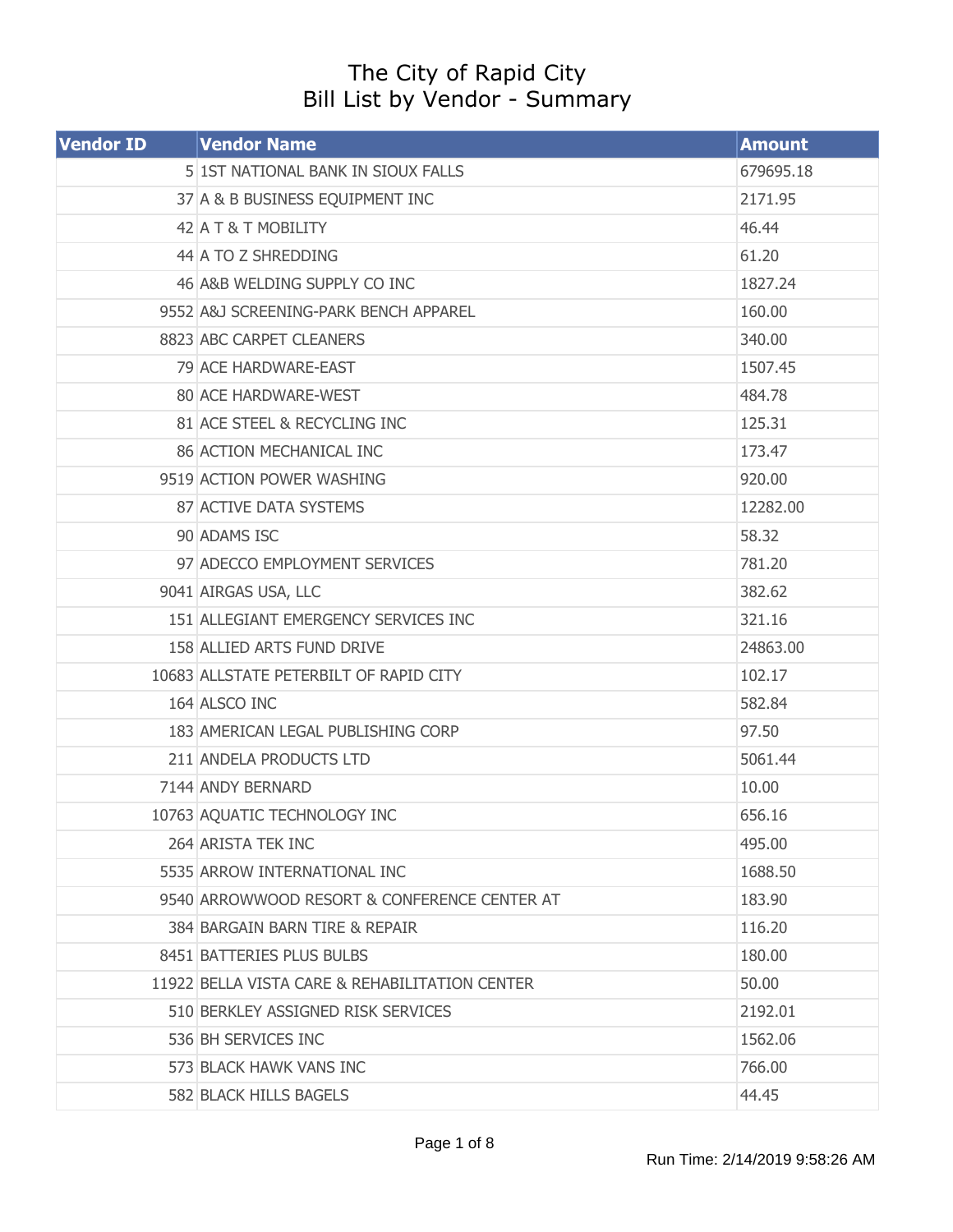## The City of Rapid City Bill List by Vendor - Summary

| <b>Vendor ID</b> | <b>Vendor Name</b>                             | <b>Amount</b> |
|------------------|------------------------------------------------|---------------|
|                  | 5 1ST NATIONAL BANK IN SIOUX FALLS             | 679695.18     |
|                  | 37 A & B BUSINESS EQUIPMENT INC                | 2171.95       |
|                  | 42 A T & T MOBILITY                            | 46.44         |
|                  | 44 A TO Z SHREDDING                            | 61.20         |
|                  | 46 A&B WELDING SUPPLY CO INC                   | 1827.24       |
|                  | 9552 A&J SCREENING-PARK BENCH APPAREL          | 160.00        |
|                  | 8823 ABC CARPET CLEANERS                       | 340.00        |
|                  | 79 ACE HARDWARE-EAST                           | 1507.45       |
|                  | 80 ACE HARDWARE-WEST                           | 484.78        |
|                  | 81 ACE STEEL & RECYCLING INC                   | 125.31        |
|                  | <b>86 ACTION MECHANICAL INC</b>                | 173.47        |
|                  | 9519 ACTION POWER WASHING                      | 920.00        |
|                  | 87 ACTIVE DATA SYSTEMS                         | 12282.00      |
|                  | 90 ADAMS ISC                                   | 58.32         |
|                  | 97 ADECCO EMPLOYMENT SERVICES                  | 781.20        |
|                  | 9041 AIRGAS USA, LLC                           | 382.62        |
|                  | 151 ALLEGIANT EMERGENCY SERVICES INC           | 321.16        |
|                  | 158 ALLIED ARTS FUND DRIVE                     | 24863.00      |
|                  | 10683 ALLSTATE PETERBILT OF RAPID CITY         | 102.17        |
|                  | 164 ALSCO INC                                  | 582.84        |
|                  | 183 AMERICAN LEGAL PUBLISHING CORP             | 97.50         |
|                  | 211 ANDELA PRODUCTS LTD                        | 5061.44       |
|                  | 7144 ANDY BERNARD                              | 10.00         |
|                  | 10763 AQUATIC TECHNOLOGY INC                   | 656.16        |
|                  | 264 ARISTA TEK INC                             | 495.00        |
|                  | 5535 ARROW INTERNATIONAL INC                   | 1688.50       |
|                  | 9540 ARROWWOOD RESORT & CONFERENCE CENTER AT   | 183.90        |
|                  | 384 BARGAIN BARN TIRE & REPAIR                 | 116.20        |
|                  | 8451 BATTERIES PLUS BULBS                      | 180.00        |
|                  | 11922 BELLA VISTA CARE & REHABILITATION CENTER | 50.00         |
|                  | 510 BERKLEY ASSIGNED RISK SERVICES             | 2192.01       |
|                  | 536 BH SERVICES INC                            | 1562.06       |
|                  | 573 BLACK HAWK VANS INC                        | 766.00        |
|                  | 582 BLACK HILLS BAGELS                         | 44.45         |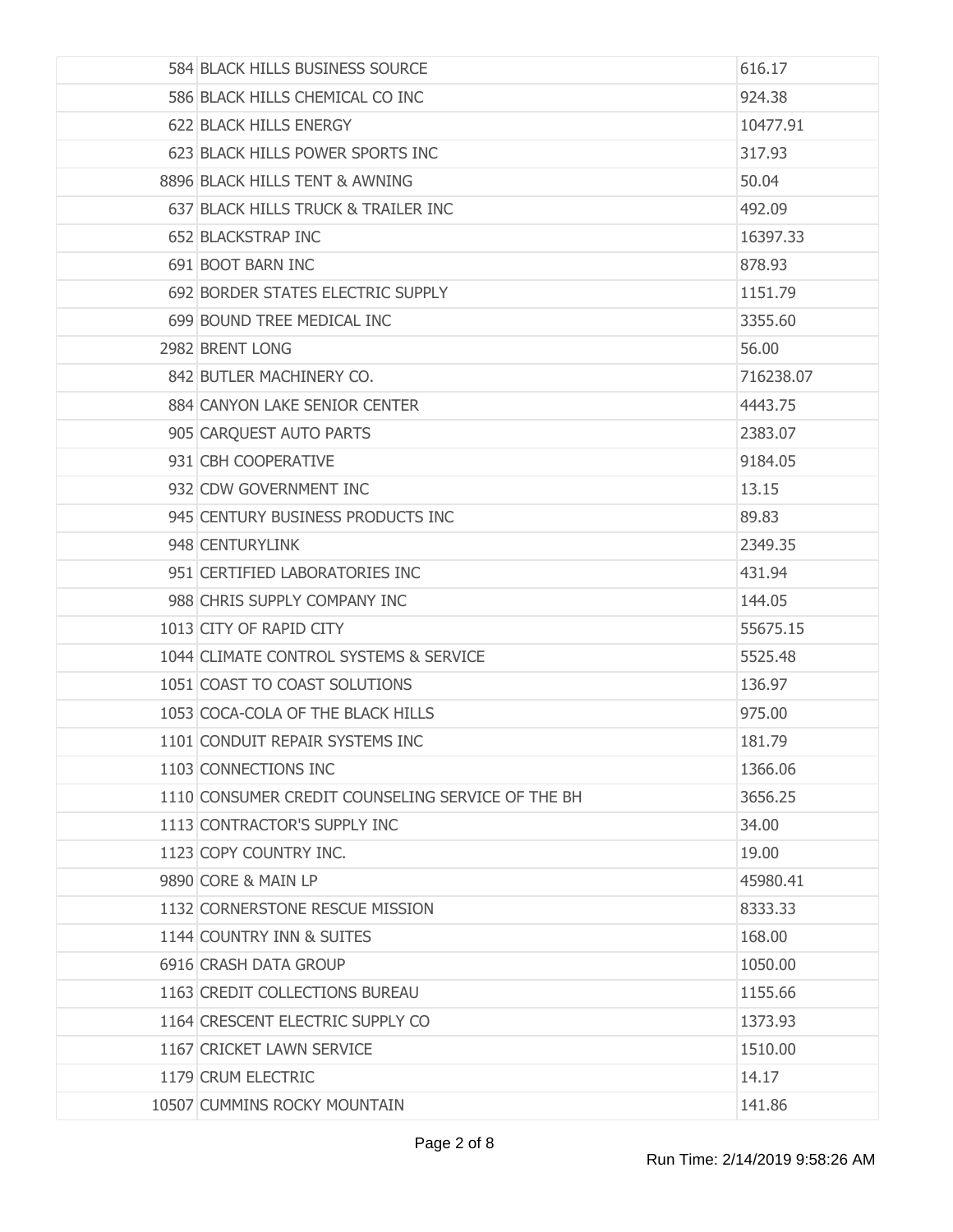| 584 BLACK HILLS BUSINESS SOURCE                   | 616.17    |
|---------------------------------------------------|-----------|
| 586 BLACK HILLS CHEMICAL CO INC                   | 924.38    |
| 622 BLACK HILLS ENERGY                            | 10477.91  |
| 623 BLACK HILLS POWER SPORTS INC                  | 317.93    |
| 8896 BLACK HILLS TENT & AWNING                    | 50.04     |
| 637 BLACK HILLS TRUCK & TRAILER INC               | 492.09    |
| 652 BLACKSTRAP INC                                | 16397.33  |
| 691 BOOT BARN INC                                 | 878.93    |
| 692 BORDER STATES ELECTRIC SUPPLY                 | 1151.79   |
| 699 BOUND TREE MEDICAL INC                        | 3355.60   |
| 2982 BRENT LONG                                   | 56.00     |
| 842 BUTLER MACHINERY CO.                          | 716238.07 |
| 884 CANYON LAKE SENIOR CENTER                     | 4443.75   |
| 905 CARQUEST AUTO PARTS                           | 2383.07   |
| 931 CBH COOPERATIVE                               | 9184.05   |
| 932 CDW GOVERNMENT INC                            | 13.15     |
| 945 CENTURY BUSINESS PRODUCTS INC                 | 89.83     |
| 948 CENTURYLINK                                   | 2349.35   |
| 951 CERTIFIED LABORATORIES INC                    | 431.94    |
| 988 CHRIS SUPPLY COMPANY INC                      | 144.05    |
| 1013 CITY OF RAPID CITY                           | 55675.15  |
| 1044 CLIMATE CONTROL SYSTEMS & SERVICE            | 5525.48   |
| 1051 COAST TO COAST SOLUTIONS                     | 136.97    |
| 1053 COCA-COLA OF THE BLACK HILLS                 | 975.00    |
| 1101 CONDUIT REPAIR SYSTEMS INC                   | 181.79    |
| 1103 CONNECTIONS INC                              | 1366.06   |
| 1110 CONSUMER CREDIT COUNSELING SERVICE OF THE BH | 3656.25   |
| 1113 CONTRACTOR'S SUPPLY INC                      | 34.00     |
| 1123 COPY COUNTRY INC.                            | 19.00     |
| 9890 CORE & MAIN LP                               | 45980.41  |
| 1132 CORNERSTONE RESCUE MISSION                   | 8333.33   |
| 1144 COUNTRY INN & SUITES                         | 168.00    |
| 6916 CRASH DATA GROUP                             | 1050.00   |
| 1163 CREDIT COLLECTIONS BUREAU                    | 1155.66   |
| 1164 CRESCENT ELECTRIC SUPPLY CO                  | 1373.93   |
| 1167 CRICKET LAWN SERVICE                         | 1510.00   |
| 1179 CRUM ELECTRIC                                | 14.17     |
| 10507 CUMMINS ROCKY MOUNTAIN                      | 141.86    |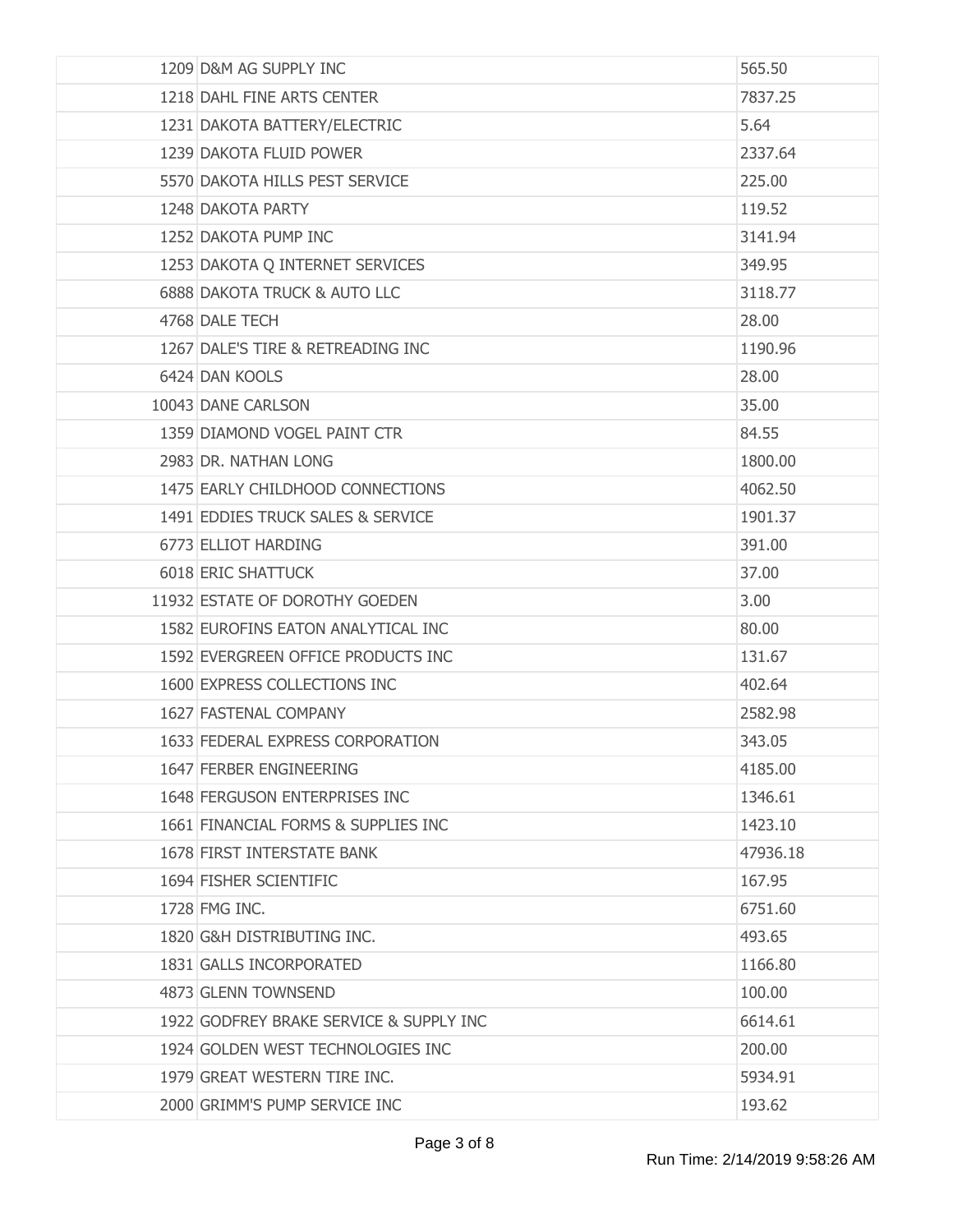| 1209 D&M AG SUPPLY INC                  | 565.50   |
|-----------------------------------------|----------|
| 1218 DAHL FINE ARTS CENTER              | 7837.25  |
| 1231 DAKOTA BATTERY/ELECTRIC            | 5.64     |
| 1239 DAKOTA FLUID POWER                 | 2337.64  |
| 5570 DAKOTA HILLS PEST SERVICE          | 225.00   |
| 1248 DAKOTA PARTY                       | 119.52   |
| 1252 DAKOTA PUMP INC                    | 3141.94  |
| 1253 DAKOTA Q INTERNET SERVICES         | 349.95   |
| 6888 DAKOTA TRUCK & AUTO LLC            | 3118.77  |
| 4768 DALE TECH                          | 28.00    |
| 1267 DALE'S TIRE & RETREADING INC       | 1190.96  |
| 6424 DAN KOOLS                          | 28.00    |
| 10043 DANE CARLSON                      | 35.00    |
| 1359 DIAMOND VOGEL PAINT CTR            | 84.55    |
| 2983 DR. NATHAN LONG                    | 1800.00  |
| 1475 EARLY CHILDHOOD CONNECTIONS        | 4062.50  |
| 1491 EDDIES TRUCK SALES & SERVICE       | 1901.37  |
| 6773 ELLIOT HARDING                     | 391.00   |
| <b>6018 ERIC SHATTUCK</b>               | 37.00    |
| 11932 ESTATE OF DOROTHY GOEDEN          | 3.00     |
| 1582 EUROFINS EATON ANALYTICAL INC      | 80.00    |
| 1592 EVERGREEN OFFICE PRODUCTS INC      | 131.67   |
| 1600 EXPRESS COLLECTIONS INC            | 402.64   |
| 1627 FASTENAL COMPANY                   | 2582.98  |
| 1633 FEDERAL EXPRESS CORPORATION        | 343.05   |
| 1647 FERBER ENGINEERING                 | 4185.00  |
| 1648 FERGUSON ENTERPRISES INC           | 1346.61  |
| 1661 FINANCIAL FORMS & SUPPLIES INC     | 1423.10  |
| <b>1678 FIRST INTERSTATE BANK</b>       | 47936.18 |
| 1694 FISHER SCIENTIFIC                  | 167.95   |
| 1728 FMG INC.                           | 6751.60  |
| 1820 G&H DISTRIBUTING INC.              | 493.65   |
| 1831 GALLS INCORPORATED                 | 1166.80  |
| 4873 GLENN TOWNSEND                     | 100.00   |
| 1922 GODFREY BRAKE SERVICE & SUPPLY INC | 6614.61  |
| 1924 GOLDEN WEST TECHNOLOGIES INC       | 200.00   |
| 1979 GREAT WESTERN TIRE INC.            | 5934.91  |
| 2000 GRIMM'S PUMP SERVICE INC           | 193.62   |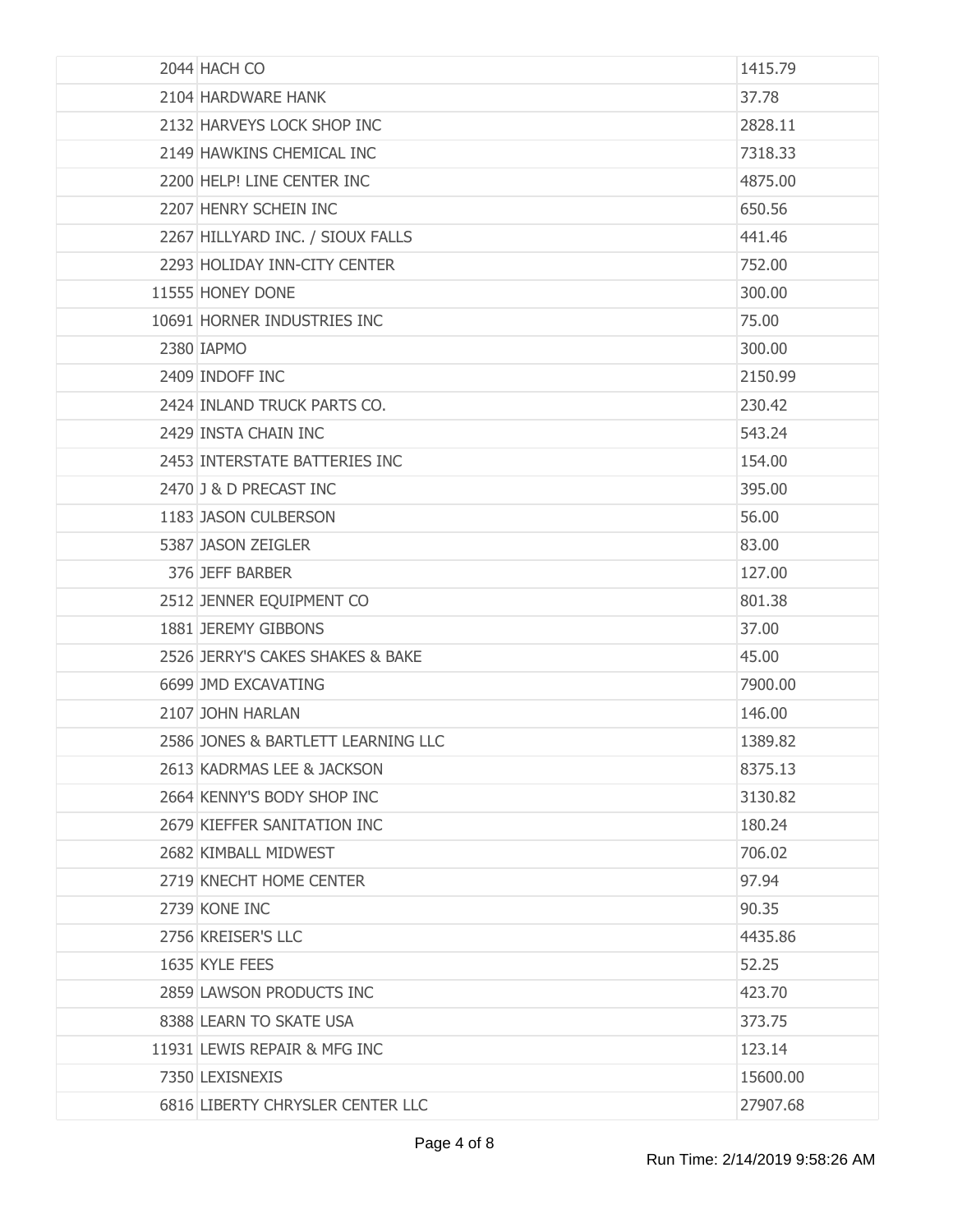| 2044 HACH CO                       | 1415.79  |
|------------------------------------|----------|
| 2104 HARDWARE HANK                 | 37.78    |
| 2132 HARVEYS LOCK SHOP INC         | 2828.11  |
| 2149 HAWKINS CHEMICAL INC          | 7318.33  |
| 2200 HELP! LINE CENTER INC         | 4875.00  |
| 2207 HENRY SCHEIN INC              | 650.56   |
| 2267 HILLYARD INC. / SIOUX FALLS   | 441.46   |
| 2293 HOLIDAY INN-CITY CENTER       | 752.00   |
| 11555 HONEY DONE                   | 300.00   |
| 10691 HORNER INDUSTRIES INC        | 75.00    |
| 2380 IAPMO                         | 300.00   |
| 2409 INDOFF INC                    | 2150.99  |
| 2424 INLAND TRUCK PARTS CO.        | 230.42   |
| 2429 INSTA CHAIN INC               | 543.24   |
| 2453 INTERSTATE BATTERIES INC      | 154.00   |
| 2470 J & D PRECAST INC             | 395.00   |
| 1183 JASON CULBERSON               | 56.00    |
| 5387 JASON ZEIGLER                 | 83.00    |
| 376 JEFF BARBER                    | 127.00   |
| 2512 JENNER EQUIPMENT CO           | 801.38   |
| 1881 JEREMY GIBBONS                | 37.00    |
| 2526 JERRY'S CAKES SHAKES & BAKE   | 45.00    |
| 6699 JMD EXCAVATING                | 7900.00  |
| 2107 JOHN HARLAN                   | 146.00   |
| 2586 JONES & BARTLETT LEARNING LLC | 1389.82  |
| 2613 KADRMAS LEE & JACKSON         | 8375.13  |
| 2664 KENNY'S BODY SHOP INC         | 3130.82  |
| 2679 KIEFFER SANITATION INC        | 180.24   |
| 2682 KIMBALL MIDWEST               | 706.02   |
| 2719 KNECHT HOME CENTER            | 97.94    |
| 2739 KONE INC                      | 90.35    |
| 2756 KREISER'S LLC                 | 4435.86  |
| 1635 KYLE FEES                     | 52.25    |
| 2859 LAWSON PRODUCTS INC           | 423.70   |
| 8388 LEARN TO SKATE USA            | 373.75   |
| 11931 LEWIS REPAIR & MFG INC       | 123.14   |
| 7350 LEXISNEXIS                    | 15600.00 |
| 6816 LIBERTY CHRYSLER CENTER LLC   | 27907.68 |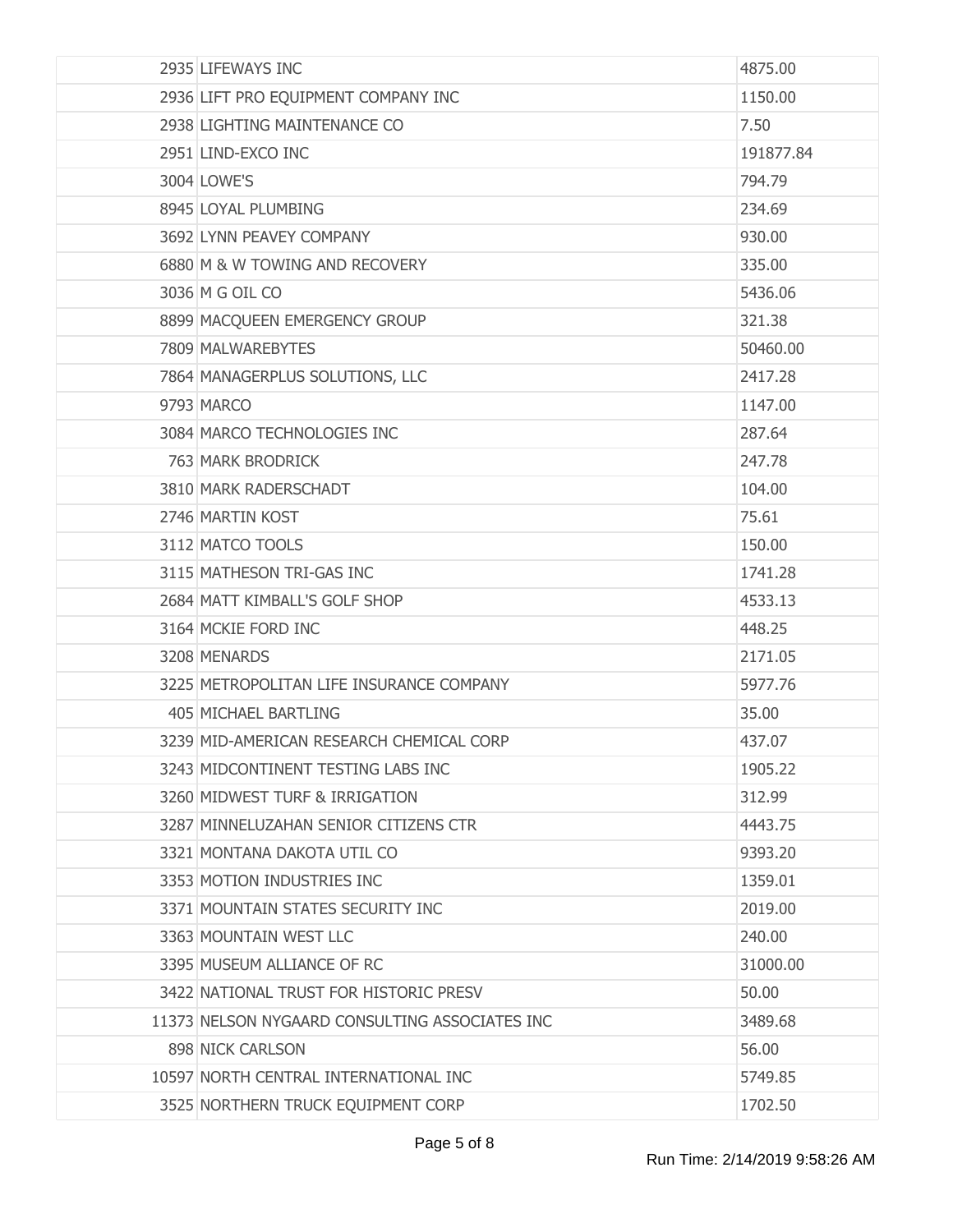| 2935 LIFEWAYS INC                              | 4875.00   |
|------------------------------------------------|-----------|
| 2936 LIFT PRO EQUIPMENT COMPANY INC            | 1150.00   |
| 2938 LIGHTING MAINTENANCE CO                   | 7.50      |
| 2951 LIND-EXCO INC                             | 191877.84 |
| 3004 LOWE'S                                    | 794.79    |
| 8945 LOYAL PLUMBING                            | 234.69    |
| 3692 LYNN PEAVEY COMPANY                       | 930.00    |
| 6880 M & W TOWING AND RECOVERY                 | 335.00    |
| 3036 M G OIL CO                                | 5436.06   |
| 8899 MACQUEEN EMERGENCY GROUP                  | 321.38    |
| 7809 MALWAREBYTES                              | 50460.00  |
| 7864 MANAGERPLUS SOLUTIONS, LLC                | 2417.28   |
| 9793 MARCO                                     | 1147.00   |
| 3084 MARCO TECHNOLOGIES INC                    | 287.64    |
| 763 MARK BRODRICK                              | 247.78    |
| 3810 MARK RADERSCHADT                          | 104.00    |
| 2746 MARTIN KOST                               | 75.61     |
| 3112 MATCO TOOLS                               | 150.00    |
| 3115 MATHESON TRI-GAS INC                      | 1741.28   |
| 2684 MATT KIMBALL'S GOLF SHOP                  | 4533.13   |
| 3164 MCKIE FORD INC                            | 448.25    |
| 3208 MENARDS                                   | 2171.05   |
| 3225 METROPOLITAN LIFE INSURANCE COMPANY       | 5977.76   |
| 405 MICHAEL BARTLING                           | 35.00     |
| 3239 MID-AMERICAN RESEARCH CHEMICAL CORP       | 437.07    |
| 3243 MIDCONTINENT TESTING LABS INC             | 1905.22   |
| 3260 MIDWEST TURF & IRRIGATION                 | 312.99    |
| 3287 MINNELUZAHAN SENIOR CITIZENS CTR          | 4443.75   |
| 3321 MONTANA DAKOTA UTIL CO                    | 9393.20   |
| 3353 MOTION INDUSTRIES INC                     | 1359.01   |
| 3371 MOUNTAIN STATES SECURITY INC              | 2019.00   |
| 3363 MOUNTAIN WEST LLC                         | 240.00    |
| 3395 MUSEUM ALLIANCE OF RC                     | 31000.00  |
| 3422 NATIONAL TRUST FOR HISTORIC PRESV         | 50.00     |
| 11373 NELSON NYGAARD CONSULTING ASSOCIATES INC | 3489.68   |
| 898 NICK CARLSON                               | 56.00     |
| 10597 NORTH CENTRAL INTERNATIONAL INC          | 5749.85   |
| 3525 NORTHERN TRUCK EQUIPMENT CORP             | 1702.50   |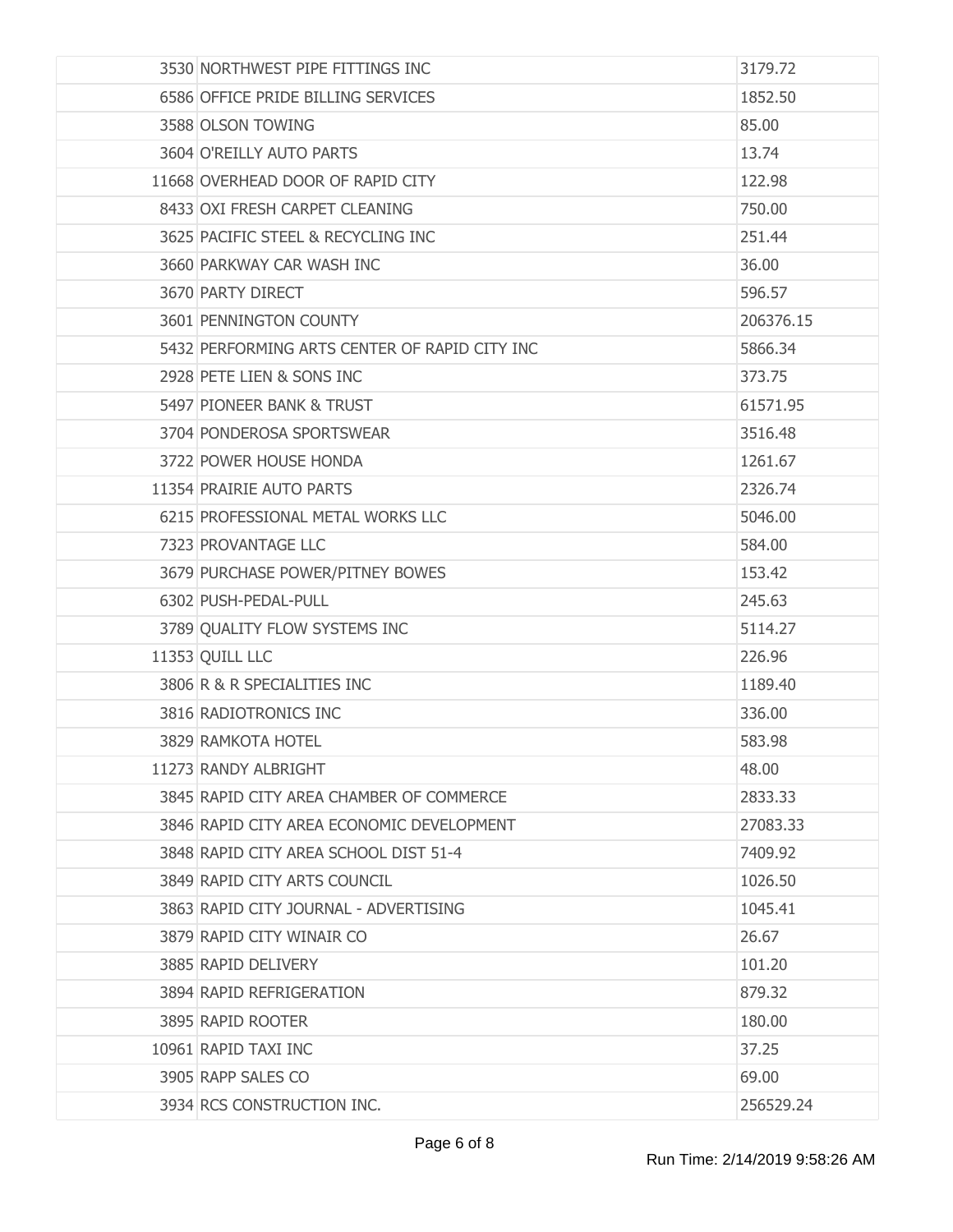| 3530 NORTHWEST PIPE FITTINGS INC              | 3179.72   |
|-----------------------------------------------|-----------|
| 6586 OFFICE PRIDE BILLING SERVICES            | 1852.50   |
| 3588 OLSON TOWING                             | 85.00     |
| 3604 O'REILLY AUTO PARTS                      | 13.74     |
| 11668 OVERHEAD DOOR OF RAPID CITY             | 122.98    |
| 8433 OXI FRESH CARPET CLEANING                | 750.00    |
| 3625 PACIFIC STEEL & RECYCLING INC            | 251.44    |
| 3660 PARKWAY CAR WASH INC                     | 36.00     |
| 3670 PARTY DIRECT                             | 596.57    |
| 3601 PENNINGTON COUNTY                        | 206376.15 |
| 5432 PERFORMING ARTS CENTER OF RAPID CITY INC | 5866.34   |
| 2928 PETE LIEN & SONS INC                     | 373.75    |
| 5497 PIONEER BANK & TRUST                     | 61571.95  |
| 3704 PONDEROSA SPORTSWEAR                     | 3516.48   |
| 3722 POWER HOUSE HONDA                        | 1261.67   |
| 11354 PRAIRIE AUTO PARTS                      | 2326.74   |
| 6215 PROFESSIONAL METAL WORKS LLC             | 5046.00   |
| 7323 PROVANTAGE LLC                           | 584.00    |
| 3679 PURCHASE POWER/PITNEY BOWES              | 153.42    |
| 6302 PUSH-PEDAL-PULL                          | 245.63    |
| 3789 QUALITY FLOW SYSTEMS INC                 | 5114.27   |
| 11353 QUILL LLC                               | 226.96    |
| 3806 R & R SPECIALITIES INC                   | 1189.40   |
| 3816 RADIOTRONICS INC                         | 336.00    |
| 3829 RAMKOTA HOTEL                            | 583.98    |
| 11273 RANDY ALBRIGHT                          | 48.00     |
| 3845 RAPID CITY AREA CHAMBER OF COMMERCE      | 2833.33   |
| 3846 RAPID CITY AREA ECONOMIC DEVELOPMENT     | 27083.33  |
| 3848 RAPID CITY AREA SCHOOL DIST 51-4         | 7409.92   |
| 3849 RAPID CITY ARTS COUNCIL                  | 1026.50   |
| 3863 RAPID CITY JOURNAL - ADVERTISING         | 1045.41   |
| 3879 RAPID CITY WINAIR CO                     | 26.67     |
| 3885 RAPID DELIVERY                           | 101.20    |
| 3894 RAPID REFRIGERATION                      | 879.32    |
| 3895 RAPID ROOTER                             | 180.00    |
| 10961 RAPID TAXI INC                          | 37.25     |
| 3905 RAPP SALES CO                            | 69.00     |
| 3934 RCS CONSTRUCTION INC.                    | 256529.24 |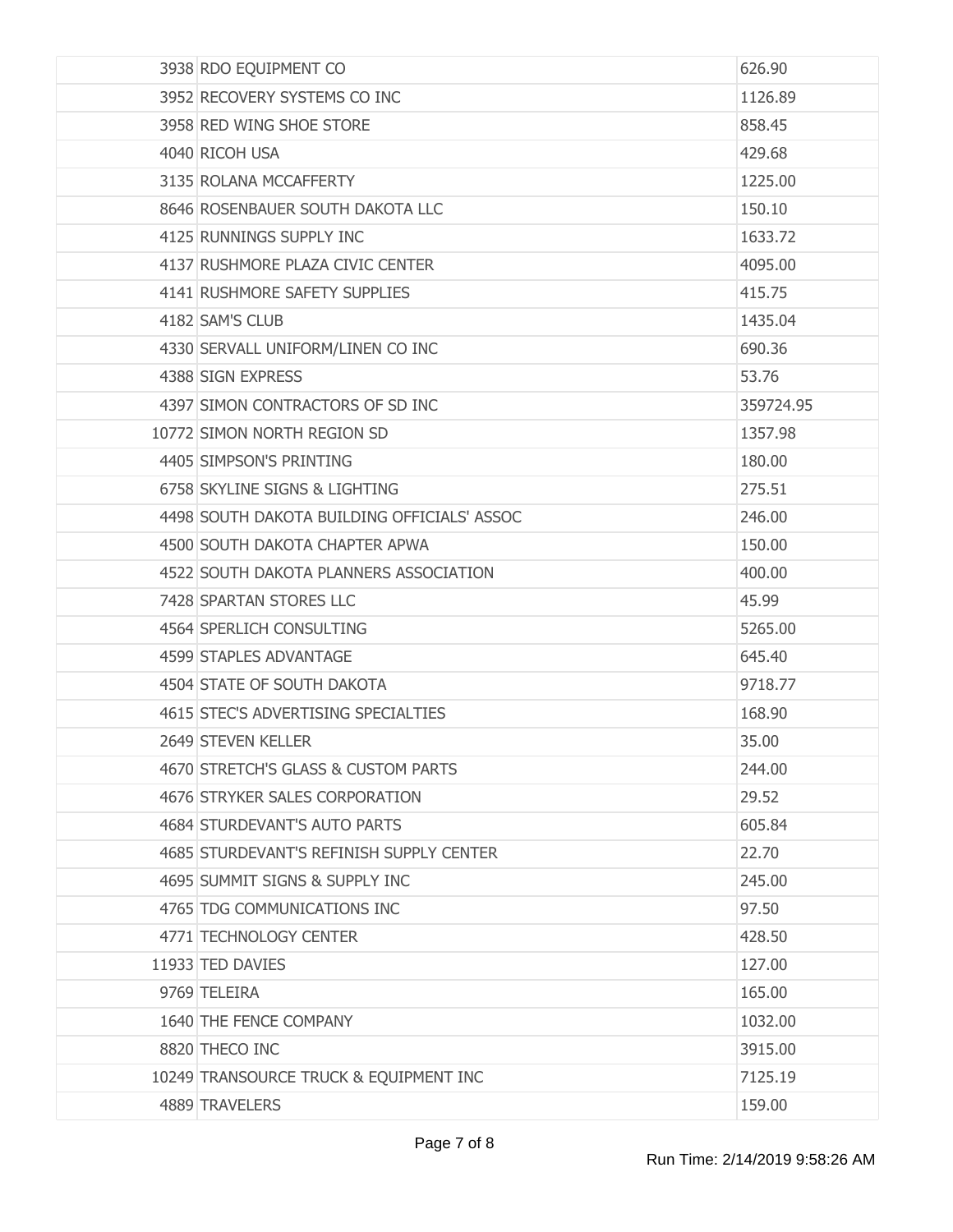| 3938 RDO EQUIPMENT CO                       | 626.90    |
|---------------------------------------------|-----------|
| 3952 RECOVERY SYSTEMS CO INC                | 1126.89   |
| 3958 RED WING SHOE STORE                    | 858.45    |
| 4040 RICOH USA                              | 429.68    |
| 3135 ROLANA MCCAFFERTY                      | 1225.00   |
| 8646 ROSENBAUER SOUTH DAKOTA LLC            | 150.10    |
| 4125 RUNNINGS SUPPLY INC                    | 1633.72   |
| 4137 RUSHMORE PLAZA CIVIC CENTER            | 4095.00   |
| 4141 RUSHMORE SAFETY SUPPLIES               | 415.75    |
| 4182 SAM'S CLUB                             | 1435.04   |
| 4330 SERVALL UNIFORM/LINEN CO INC           | 690.36    |
| 4388 SIGN EXPRESS                           | 53.76     |
| 4397 SIMON CONTRACTORS OF SD INC            | 359724.95 |
| 10772 SIMON NORTH REGION SD                 | 1357.98   |
| 4405 SIMPSON'S PRINTING                     | 180.00    |
| 6758 SKYLINE SIGNS & LIGHTING               | 275.51    |
| 4498 SOUTH DAKOTA BUILDING OFFICIALS' ASSOC | 246.00    |
| 4500 SOUTH DAKOTA CHAPTER APWA              | 150.00    |
| 4522 SOUTH DAKOTA PLANNERS ASSOCIATION      | 400.00    |
| 7428 SPARTAN STORES LLC                     | 45.99     |
| 4564 SPERLICH CONSULTING                    | 5265.00   |
| 4599 STAPLES ADVANTAGE                      | 645.40    |
| 4504 STATE OF SOUTH DAKOTA                  | 9718.77   |
| 4615 STEC'S ADVERTISING SPECIALTIES         | 168.90    |
| 2649 STEVEN KELLER                          | 35.00     |
| 4670 STRETCH'S GLASS & CUSTOM PARTS         | 244.00    |
| 4676 STRYKER SALES CORPORATION              | 29.52     |
| 4684 STURDEVANT'S AUTO PARTS                | 605.84    |
| 4685 STURDEVANT'S REFINISH SUPPLY CENTER    | 22.70     |
| 4695 SUMMIT SIGNS & SUPPLY INC              | 245.00    |
| 4765 TDG COMMUNICATIONS INC                 | 97.50     |
| 4771 TECHNOLOGY CENTER                      | 428.50    |
| 11933 TED DAVIES                            | 127.00    |
| 9769 TELEIRA                                | 165.00    |
| 1640 THE FENCE COMPANY                      | 1032.00   |
| 8820 THECO INC                              | 3915.00   |
| 10249 TRANSOURCE TRUCK & EQUIPMENT INC      | 7125.19   |
| 4889 TRAVELERS                              | 159.00    |